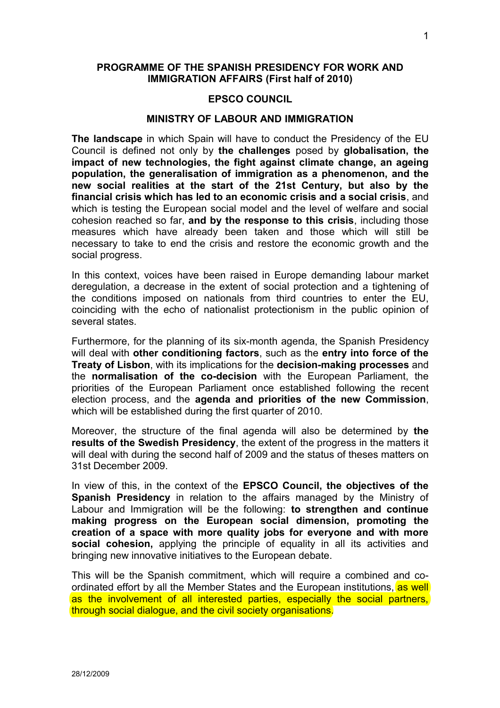# **PROGRAMME OF THE SPANISH PRESIDENCY FOR WORK AND IMMIGRATION AFFAIRS (First half of 2010)**

#### **EPSCO COUNCIL**

#### **MINISTRY OF LABOUR AND IMMIGRATION**

**The landscape** in which Spain will have to conduct the Presidency of the EU Council is defined not only by **the challenges** posed by **globalisation, the impact of new technologies, the fight against climate change, an ageing population, the generalisation of immigration as a phenomenon, and the new social realities at the start of the 21st Century, but also by the financial crisis which has led to an economic crisis and a social crisis**, and which is testing the European social model and the level of welfare and social cohesion reached so far, **and by the response to this crisis**, including those measures which have already been taken and those which will still be necessary to take to end the crisis and restore the economic growth and the social progress.

In this context, voices have been raised in Europe demanding labour market deregulation, a decrease in the extent of social protection and a tightening of the conditions imposed on nationals from third countries to enter the EU, coinciding with the echo of nationalist protectionism in the public opinion of several states.

Furthermore, for the planning of its six-month agenda, the Spanish Presidency will deal with **other conditioning factors**, such as the **entry into force of the Treaty of Lisbon**, with its implications for the **decision-making processes** and the **normalisation of the co-decision** with the European Parliament, the priorities of the European Parliament once established following the recent election process, and the **agenda and priorities of the new Commission**, which will be established during the first quarter of 2010.

Moreover, the structure of the final agenda will also be determined by **the results of the Swedish Presidency**, the extent of the progress in the matters it will deal with during the second half of 2009 and the status of theses matters on 31st December 2009.

In view of this, in the context of the **EPSCO Council, the objectives of the Spanish Presidency** in relation to the affairs managed by the Ministry of Labour and Immigration will be the following: **to strengthen and continue making progress on the European social dimension, promoting the creation of a space with more quality jobs for everyone and with more social cohesion,** applying the principle of equality in all its activities and bringing new innovative initiatives to the European debate.

This will be the Spanish commitment, which will require a combined and coordinated effort by all the Member States and the European institutions, as well as the involvement of all interested parties, especially the social partners, through social dialogue, and the civil society organisations.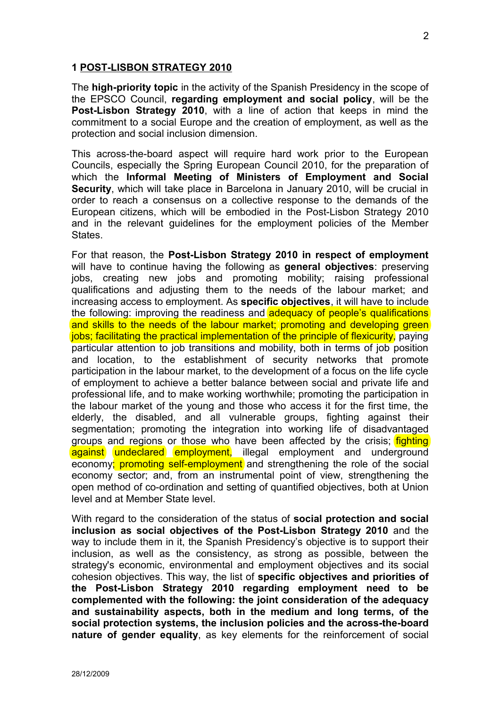### **1 POST-LISBON STRATEGY 2010**

The **high-priority topic** in the activity of the Spanish Presidency in the scope of the EPSCO Council, **regarding employment and social policy**, will be the **Post-Lisbon Strategy 2010**, with a line of action that keeps in mind the commitment to a social Europe and the creation of employment, as well as the protection and social inclusion dimension.

This across-the-board aspect will require hard work prior to the European Councils, especially the Spring European Council 2010, for the preparation of which the **Informal Meeting of Ministers of Employment and Social Security**, which will take place in Barcelona in January 2010, will be crucial in order to reach a consensus on a collective response to the demands of the European citizens, which will be embodied in the Post-Lisbon Strategy 2010 and in the relevant guidelines for the employment policies of the Member States.

For that reason, the **Post-Lisbon Strategy 2010 in respect of employment** will have to continue having the following as **general objectives**: preserving jobs, creating new jobs and promoting mobility; raising professional qualifications and adjusting them to the needs of the labour market; and increasing access to employment. As **specific objectives**, it will have to include the following: improving the readiness and adequacy of people's qualifications and skills to the needs of the labour market; promoting and developing green jobs; facilitating the practical implementation of the principle of flexicurity, paying particular attention to job transitions and mobility, both in terms of job position and location, to the establishment of security networks that promote participation in the labour market, to the development of a focus on the life cycle of employment to achieve a better balance between social and private life and professional life, and to make working worthwhile; promoting the participation in the labour market of the young and those who access it for the first time, the elderly, the disabled, and all vulnerable groups, fighting against their segmentation; promoting the integration into working life of disadvantaged groups and regions or those who have been affected by the crisis; **fighting** against undeclared employment, illegal employment and underground economy; promoting self-employment and strengthening the role of the social economy sector; and, from an instrumental point of view, strengthening the open method of co-ordination and setting of quantified objectives, both at Union level and at Member State level.

With regard to the consideration of the status of **social protection and social inclusion as social objectives of the Post-Lisbon Strategy 2010** and the way to include them in it, the Spanish Presidency's objective is to support their inclusion, as well as the consistency, as strong as possible, between the strategy's economic, environmental and employment objectives and its social cohesion objectives. This way, the list of **specific objectives and priorities of the Post-Lisbon Strategy 2010 regarding employment need to be complemented with the following: the joint consideration of the adequacy and sustainability aspects, both in the medium and long terms, of the social protection systems, the inclusion policies and the across-the-board nature of gender equality**, as key elements for the reinforcement of social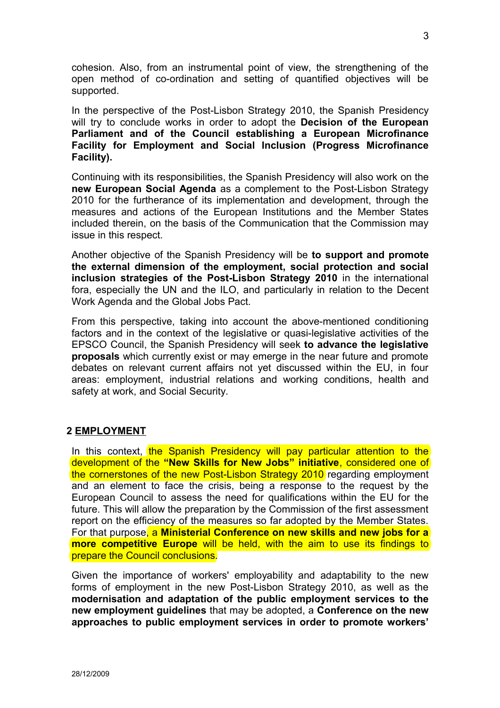cohesion. Also, from an instrumental point of view, the strengthening of the open method of co-ordination and setting of quantified objectives will be supported.

In the perspective of the Post-Lisbon Strategy 2010, the Spanish Presidency will try to conclude works in order to adopt the **Decision of the European Parliament and of the Council establishing a European Microfinance Facility for Employment and Social Inclusion (Progress Microfinance Facility).**

Continuing with its responsibilities, the Spanish Presidency will also work on the **new European Social Agenda** as a complement to the Post-Lisbon Strategy 2010 for the furtherance of its implementation and development, through the measures and actions of the European Institutions and the Member States included therein, on the basis of the Communication that the Commission may issue in this respect.

Another objective of the Spanish Presidency will be **to support and promote the external dimension of the employment, social protection and social inclusion strategies of the Post-Lisbon Strategy 2010** in the international fora, especially the UN and the ILO, and particularly in relation to the Decent Work Agenda and the Global Jobs Pact.

From this perspective, taking into account the above-mentioned conditioning factors and in the context of the legislative or quasi-legislative activities of the EPSCO Council, the Spanish Presidency will seek **to advance the legislative proposals** which currently exist or may emerge in the near future and promote debates on relevant current affairs not yet discussed within the EU, in four areas: employment, industrial relations and working conditions, health and safety at work, and Social Security.

## **2 EMPLOYMENT**

In this context, the Spanish Presidency will pay particular attention to the development of the **"New Skills for New Jobs" initiative**, considered one of the cornerstones of the new Post-Lisbon Strategy 2010 regarding employment and an element to face the crisis, being a response to the request by the European Council to assess the need for qualifications within the EU for the future. This will allow the preparation by the Commission of the first assessment report on the efficiency of the measures so far adopted by the Member States. For that purpose, a **Ministerial Conference on new skills and new jobs for a more competitive Europe** will be held, with the aim to use its findings to prepare the Council conclusions.

Given the importance of workers' employability and adaptability to the new forms of employment in the new Post-Lisbon Strategy 2010, as well as the **modernisation and adaptation of the public employment services to the new employment guidelines** that may be adopted, a **Conference on the new approaches to public employment services in order to promote workers'**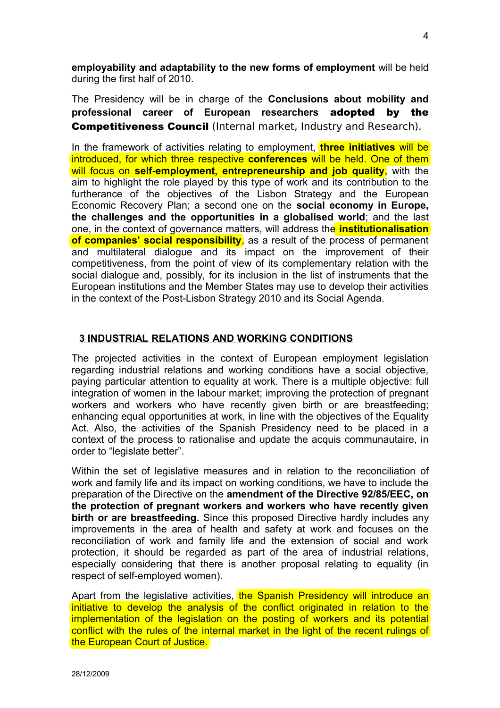**employability and adaptability to the new forms of employment** will be held during the first half of 2010.

The Presidency will be in charge of the **Conclusions about mobility and professional career of European researchers** adopted by the **Competitiveness Council** (Internal market, Industry and Research).

In the framework of activities relating to employment, **three initiatives** will be introduced, for which three respective **conferences** will be held. One of them will focus on **self-employment, entrepreneurship and job quality**, with the aim to highlight the role played by this type of work and its contribution to the furtherance of the objectives of the Lisbon Strategy and the European Economic Recovery Plan; a second one on the **social economy in Europe, the challenges and the opportunities in a globalised world**; and the last one, in the context of governance matters, will address the **institutionalisation of companies' social responsibility**, as a result of the process of permanent and multilateral dialogue and its impact on the improvement of their competitiveness, from the point of view of its complementary relation with the social dialogue and, possibly, for its inclusion in the list of instruments that the European institutions and the Member States may use to develop their activities in the context of the Post-Lisbon Strategy 2010 and its Social Agenda.

# **3 INDUSTRIAL RELATIONS AND WORKING CONDITIONS**

The projected activities in the context of European employment legislation regarding industrial relations and working conditions have a social objective, paying particular attention to equality at work. There is a multiple objective: full integration of women in the labour market; improving the protection of pregnant workers and workers who have recently given birth or are breastfeeding; enhancing equal opportunities at work, in line with the objectives of the Equality Act. Also, the activities of the Spanish Presidency need to be placed in a context of the process to rationalise and update the acquis communautaire, in order to "legislate better".

Within the set of legislative measures and in relation to the reconciliation of work and family life and its impact on working conditions, we have to include the preparation of the Directive on the **amendment of the Directive 92/85/EEC, on the protection of pregnant workers and workers who have recently given birth or are breastfeeding.** Since this proposed Directive hardly includes any improvements in the area of health and safety at work and focuses on the reconciliation of work and family life and the extension of social and work protection, it should be regarded as part of the area of industrial relations, especially considering that there is another proposal relating to equality (in respect of self-employed women).

Apart from the legislative activities, the Spanish Presidency will introduce an initiative to develop the analysis of the conflict originated in relation to the implementation of the legislation on the posting of workers and its potential conflict with the rules of the internal market in the light of the recent rulings of the European Court of Justice.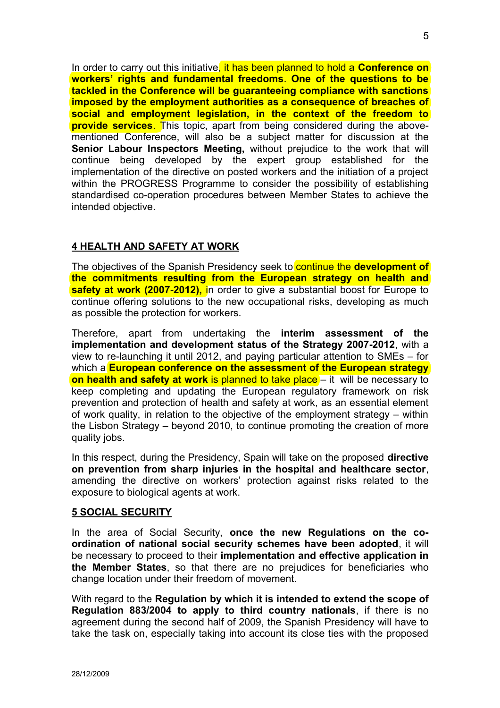In order to carry out this initiative, it has been planned to hold a **Conference on workers' rights and fundamental freedoms**. **One of the questions to be tackled in the Conference will be guaranteeing compliance with sanctions imposed by the employment authorities as a consequence of breaches of social and employment legislation, in the context of the freedom to provide services**. This topic, apart from being considered during the abovementioned Conference, will also be a subject matter for discussion at the **Senior Labour Inspectors Meeting,** without prejudice to the work that will continue being developed by the expert group established for the implementation of the directive on posted workers and the initiation of a project within the PROGRESS Programme to consider the possibility of establishing standardised co-operation procedures between Member States to achieve the intended objective.

# **4 HEALTH AND SAFETY AT WORK**

The objectives of the Spanish Presidency seek to continue the **development of the commitments resulting from the European strategy on health and safety at work (2007-2012),** in order to give a substantial boost for Europe to continue offering solutions to the new occupational risks, developing as much as possible the protection for workers.

Therefore, apart from undertaking the **interim assessment of the implementation and development status of the Strategy 2007-2012**, with a view to re-launching it until 2012, and paying particular attention to SMEs – for which a **European conference on the assessment of the European strategy on health and safety at work** is planned to take place – it will be necessary to keep completing and updating the European regulatory framework on risk prevention and protection of health and safety at work, as an essential element of work quality, in relation to the objective of the employment strategy – within the Lisbon Strategy – beyond 2010, to continue promoting the creation of more quality jobs.

In this respect, during the Presidency, Spain will take on the proposed **directive on prevention from sharp injuries in the hospital and healthcare sector**, amending the directive on workers' protection against risks related to the exposure to biological agents at work.

## **5 SOCIAL SECURITY**

In the area of Social Security, **once the new Regulations on the coordination of national social security schemes have been adopted**, it will be necessary to proceed to their **implementation and effective application in the Member States**, so that there are no prejudices for beneficiaries who change location under their freedom of movement.

With regard to the **Regulation by which it is intended to extend the scope of Regulation 883/2004 to apply to third country nationals**, if there is no agreement during the second half of 2009, the Spanish Presidency will have to take the task on, especially taking into account its close ties with the proposed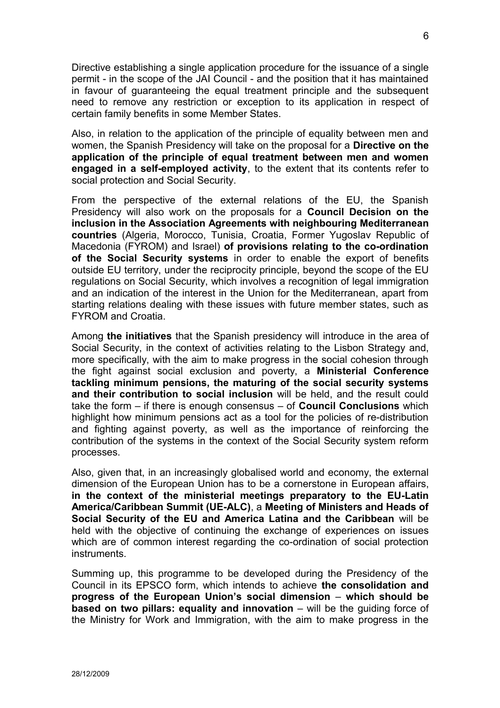Directive establishing a single application procedure for the issuance of a single permit - in the scope of the JAI Council - and the position that it has maintained in favour of guaranteeing the equal treatment principle and the subsequent need to remove any restriction or exception to its application in respect of certain family benefits in some Member States.

Also, in relation to the application of the principle of equality between men and women, the Spanish Presidency will take on the proposal for a **Directive on the application of the principle of equal treatment between men and women engaged in a self-employed activity**, to the extent that its contents refer to social protection and Social Security.

From the perspective of the external relations of the EU, the Spanish Presidency will also work on the proposals for a **Council Decision on the inclusion in the Association Agreements with neighbouring Mediterranean countries** (Algeria, Morocco, Tunisia, Croatia, Former Yugoslav Republic of Macedonia (FYROM) and Israel) **of provisions relating to the co-ordination of the Social Security systems** in order to enable the export of benefits outside EU territory, under the reciprocity principle, beyond the scope of the EU regulations on Social Security, which involves a recognition of legal immigration and an indication of the interest in the Union for the Mediterranean, apart from starting relations dealing with these issues with future member states, such as FYROM and Croatia.

Among **the initiatives** that the Spanish presidency will introduce in the area of Social Security, in the context of activities relating to the Lisbon Strategy and, more specifically, with the aim to make progress in the social cohesion through the fight against social exclusion and poverty, a **Ministerial Conference tackling minimum pensions, the maturing of the social security systems and their contribution to social inclusion** will be held, and the result could take the form – if there is enough consensus – of **Council Conclusions** which highlight how minimum pensions act as a tool for the policies of re-distribution and fighting against poverty, as well as the importance of reinforcing the contribution of the systems in the context of the Social Security system reform processes.

Also, given that, in an increasingly globalised world and economy, the external dimension of the European Union has to be a cornerstone in European affairs, **in the context of the ministerial meetings preparatory to the EU-Latin America/Caribbean Summit (UE-ALC)**, a **Meeting of Ministers and Heads of Social Security of the EU and America Latina and the Caribbean** will be held with the objective of continuing the exchange of experiences on issues which are of common interest regarding the co-ordination of social protection instruments.

Summing up, this programme to be developed during the Presidency of the Council in its EPSCO form, which intends to achieve **the consolidation and progress of the European Union's social dimension** – **which should be based on two pillars: equality and innovation** – will be the guiding force of the Ministry for Work and Immigration, with the aim to make progress in the